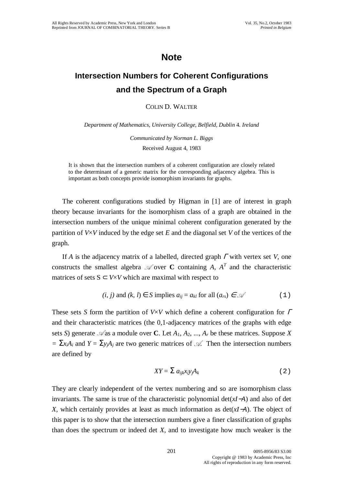## **Note**

## **Intersection Numbers for Coherent Configurations and the Spectrum of a Graph**

## COLIN D. WALTER

*Department of Mathematics, University College, Belfield, Dublin* 4. *Ireland*

*Communicated by Norman L. Biggs* Received August 4, 1983

It is shown that the intersection numbers of a coherent configuration are closely related to the determinant of a generic matrix for the corresponding adjacency algebra. This is important as both concepts provide isomorphism invariants for graphs.

The coherent configurations studied by Higman in [1] are of interest in graph theory because invariants for the isomorphism class of a graph are obtained in the intersection numbers of the unique minimal coherent configuration generated by the partition of *V*×*V* induced by the edge set *E* and the diagonal set *V* of the vertices of the graph.

If *A* is the adjacency matrix of a labelled, directed graph <sup>Γ</sup> with vertex set *V*, one constructs the smallest algebra  $\mathcal A$  over **C** containing *A,*  $A^T$  and the characteristic matrices of sets  $S \subset V \times V$  which are maximal with respect to

$$
(i, j) \text{ and } (k, l) \in S \text{ implies } a_{ij} = a_{kl} \text{ for all } (a_{rs}) \in \mathcal{A} \tag{1}
$$

These sets *S* form the partition of *V*×*V* which define a coherent configuration for <sup>Γ</sup> and their characteristic matrices (the 0,1-adjacency matrices of the graphs with edge sets *S*) generate  $\mathcal A$  as a module over **C**. Let  $A_1, A_2, ..., A_r$  be these matrices. Suppose *X*  $= \sum_{i} x_i A_i$  and  $Y = \sum_{i} y_i A_i$  are two generic matrices of  $\mathcal{A}$ . Then the intersection numbers are defined by

$$
XY = \sum a_{ijk}x_i y_j A_k \tag{2}
$$

They are clearly independent of the vertex numbering and so are isomorphism class invariants. The same is true of the characteristic polynomial det(*xI*−*A*) and also of det *X*, which certainly provides at least as much information as det(*xI*−*A*). The object of this paper is to show that the intersection numbers give a finer classification of graphs than does the spectrum or indeed det *X*, and to investigate how much weaker is the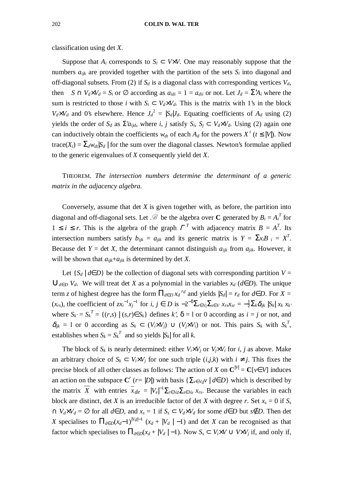classification using det *X*.

Suppose that  $A_i$  corresponds to  $S_i \subset V \times V$ . One may reasonably suppose that the numbers  $a_{ijk}$  are provided together with the partition of the sets  $S_i$  into diagonal and off-diagonal subsets. From (2) if  $S_d$  is a diagonal class with corresponding vertices  $V_d$ , then  $S \cap V_d \times V_d = S_i$  or  $\emptyset$  according as  $a_{idi} = 1 = a_{di}$  or not. Let  $J_d = \sum A_i$  where the sum is restricted to those *i* with  $S_i \subset V_d \times V_d$ . This is the matrix with 1's in the block  $V_d \times V_d$  and 0's elsewhere. Hence  $J_d^2 = |S_d|J_d$ . Equating coefficients of  $A_d$  using (2) yields the order of  $S_d$  as  $\Sigma a_{ijd}$ , where *i*, *j* satisfy  $S_i$ ,  $S_i \subset V_d \times V_d$ . Using (2) again one can inductively obtain the coefficients  $w_{dt}$  of each  $A_d$  for the powers  $X^t$  ( $t \leq |V|$ ). Now trace( $X_i$ ) =  $\Sigma_d w_{dt} |S_d|$  for the sum over the diagonal classes. Newton's formulae applied to the generic eigenvalues of *X* consequently yield det *X*.

THEOREM. *The intersection numbers determine the determinant of a generic matrix in the adjacency algebra.*

Conversely, assume that det *X* is given together with, as before, the partition into diagonal and off-diagonal sets. Let  $\mathcal{B}$  be the algebra over **C** generated by  $B_i = A_i^T$  for  $1 \leq i \leq r$ . This is the algebra of the graph  $\Gamma^T$  with adjacency matrix  $B = A^T$ . Its intersection numbers satisfy  $b_{ijk} = a_{jik}$  and its generic matrix is  $Y = \sum x_i B_i = X^T$ . Because det *Y* = det *X*, the determinant cannot distinguish  $a_{ijk}$  from  $a_{jik}$ . However, it will be shown that  $a_{ijk}+a_{jik}$  is determined by det *X*.

Let  $\{S_d | d \in D\}$  be the collection of diagonal sets with corresponding partition  $V =$  $∪_{d∈D}$  *V<sup>d</sup>*. We will treat det *X* as a polynomial in the variables *x<sub>d</sub>* (*d*∈*D*). The unique term *z* of highest degree has the form  $\prod_{d \in D} x_d^{rd}$  and yields  $|S_d| = r_d$  for  $d \in D$ . For  $X =$  $(x_{rs})$ , the coefficient of  $zx_i^{-1}x_j^{-1}$  for  $i, j \in D$  is  $-2^{-\delta}\sum_{r \in V_i}\sum_{s \in V} x_{rs}x_{sr} = -\frac{1}{2}\sum_k \delta_{ijk} |S_k| x_k x_k$ where  $S_k = S_k^T = \{(r,s) | (s,r) \in S_k\}$  defines *k*',  $\delta = 1$  or 0 according as  $i = j$  or not, and  $\delta_{ijk} = 1$  or 0 according as  $S_k \subset (V_i \times V_j) \cup (V_j \times V_i)$  or not. This pairs  $S_k$  with  $S_k^T$ , establishes when  $S_k = S_k^T$  and so yields  $|S_k|$  for all *k*.

The block of  $S_k$  is nearly determined: either  $V_i \times V_j$  or  $V_j \times V_i$  for *i*, *j* as above. Make an arbitrary choice of  $S_k \subset V_i \times V_j$  for one such triple  $(i,j,k)$  with  $i \neq j$ . This fixes the precise block of all other classes as follows: The action of *X* on  $\mathbb{C}^{\vert V \vert} = \mathbb{C}[\nu \in V]$  induces an action on the subspace  $C^r$  (*r*= |*D*|) with basis { $\sum_{v \in V_d} v \mid d \in D$ } which is described by the matrix  $\overline{X}$  with entries  $\overline{x}_{de} = |V_e|^{-1} \sum_{r \in V_d} \sum_{s \in V_e} x_{rs}$ . Because the variables in each block are distinct, det *X* is an irreducible factor of det *X* with degree *r*. Set  $x_s = 0$  if  $S_s$  $\cap$  *V*<sup>d</sup>×*V*<sup>*d*</sup> = ∅ for all *d*∈*D*, and  $x_s$  = 1 if  $S_s$  ⊂ *V*<sup>d</sup>×*V*<sup>*d*</sup> for some *d*∈*D* but *s*∉*D*. Then det *X* specialises to  $\prod_{d \in D}(x_d-1)^{|Vd|-1}$   $(x_d + |V_d| - 1)$  and det *X* can be recognised as that factor which specialises to  $\prod_{d \in D}(x_d + |V_d| - 1)$ . Now  $S_s \subset V_i \times V \cup V \times V_i$  if, and only if,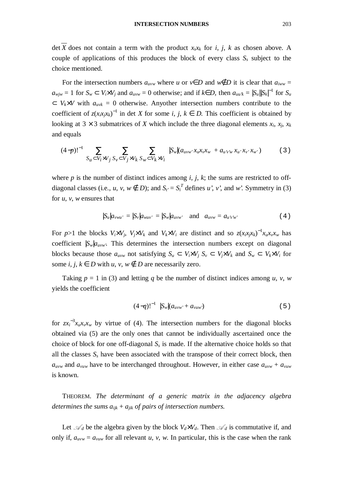$\overline{X}$  does not contain a term with the product *x<sub>s</sub>x<sub>k</sub>* for *i*, *j*, *k* as chosen above. A couple of applications of this produces the block of every class  $S_s$  subject to the choice mentioned.

For the intersection numbers  $a_{uvw}$  where *u* or  $v \in D$  and  $w \notin D$  it is clear that  $a_{iww} =$  $a_{wjw} = 1$  for  $S_w \subset V_i \times V_j$  and  $a_{uvw} = 0$  otherwise; and if  $k \in D$ , then  $a_{uuk} = |S_u||S_k|^{-1}$  for  $S_u$  $\subset V_k \times V$  with  $a_{w_k} = 0$  otherwise. Anyother intersection numbers contribute to the coefficient of  $z(x_i x_j x_k)^{-1}$  in det *X* for some *i*, *j*,  $k \in D$ . This coefficient is obtained by looking at  $3 \times 3$  submatrices of *X* which include the three diagonal elements  $x_i$ ,  $x_i$ ,  $x_k$ and equals

$$
(4-p)!^{-1} \sum_{S_u \subset V_i \times V_j} \sum_{S_v \subset V_j \times V_k} \sum_{S_w \subset V_k \times V_i} |S_w|(a_{uvw'}x_u x_v x_w + a_{u'vw}x_{u'}x_{v'} x_{w'}) \tag{3}
$$

where  $p$  is the number of distinct indices among  $i$ ,  $j$ ,  $k$ ; the sums are restricted to offdiagonal classes (i.e., *u*, *v*,  $w \notin D$ ); and  $S_t = S_t^T$  defines *u'*, *v'*, and *w'*. Symmetry in (3) for *u*, *v*, *w* ensures that

$$
|S_u|a_{vwu'}| = |S_v|a_{wuv'}| = |S_w|a_{uvw'} \quad \text{and} \quad a_{uvw} = a_{u'vw'} \tag{4}
$$

For p>1 the blocks  $V_i \times V_j$ ,  $V_j \times V_k$  and  $V_k \times V_i$  are distinct and so  $z(x_i x_j x_k)^{-1} x_u x_v x_w$  has coefficient  $|S_w|a_{uvw}$ <sup>2</sup>. This determines the intersection numbers except on diagonal blocks because those  $a_{uvw}$  not satisfying  $S_u \subset V_i \times V_j$ ,  $S_v \subset V_j \times V_k$  and  $S_w \subset V_k \times V_i$  for some *i*, *j*,  $k \in D$  with  $u, v, w \notin D$  are necessarily zero.

Taking  $p = 1$  in (3) and letting q be the number of distinct indices among u, v, w yields the coefficient

$$
(4-q)!^{-1} |S_w|(a_{uvw'} + a_{vuw})
$$
 (5)

for  $zx_i^{-3}x_u x_v x_w$  by virtue of (4). The intersection numbers for the diagonal blocks obtained via (5) are the only ones that cannot be individually ascertained once the choice of block for one off-diagonal  $S<sub>s</sub>$  is made. If the alternative choice holds so that all the classes  $S<sub>s</sub>$  have been associated with the transpose of their correct block, then  $a_{uvw}$  and  $a_{vuw}$  have to be interchanged throughout. However, in either case  $a_{uvw} + a_{vuw}$ is known.

THEOREM. *The determinant of a generic matrix in the adjacency algebra determines the sums*  $a_{ijk} + a_{jik}$  *of pairs of intersection numbers.* 

Let  $\mathcal{A}_d$  be the algebra given by the block  $V_d \times V_d$ . Then  $\mathcal{A}_d$  is commutative if, and only if,  $a_{uvw} = a_{vuw}$  for all relevant *u*, *v*, *w*. In particular, this is the case when the rank